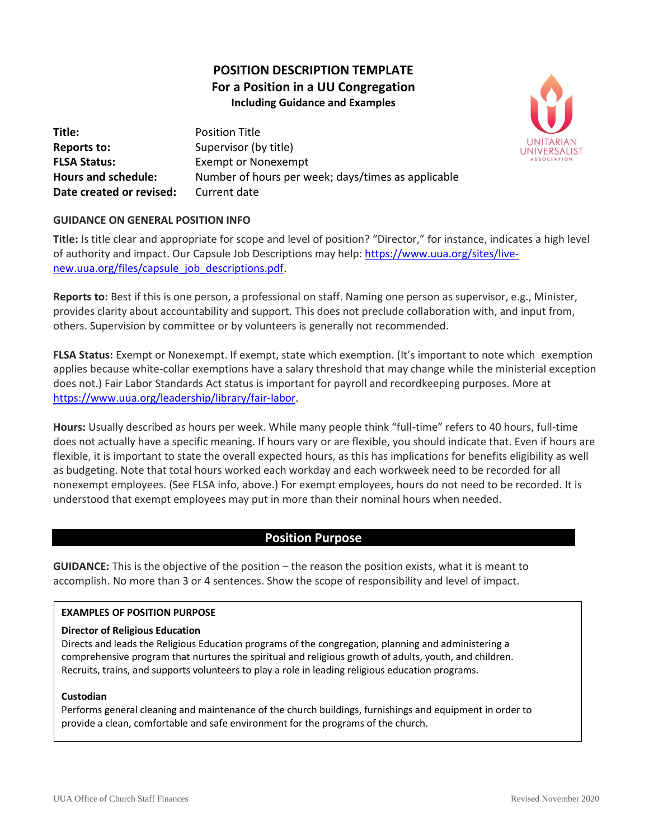# **POSITION DESCRIPTION TEMPLATE For a Position in a UU Congregation Including Guidance and Examples**



**Title:** Position Title **Reports to:** Supervisor (by title) **FLSA Status:** Exempt or Nonexempt **Hours and schedule:** Number of hours per week; days/times as applicable **Date created or revised:** Current date

## **GUIDANCE ON GENERAL POSITION INFO**

**Title:** Is title clear and appropriate for scope and level of position? "Director," for instance, indicates a high level of authority and impact. Our Capsule Job Descriptions may help: [https://www.uua.org/sites/live](https://www.uua.org/sites/live-new.uua.org/files/capsule_job_descriptions.pdf)[new.uua.org/files/capsule\\_job\\_descriptions.pdf.](https://www.uua.org/sites/live-new.uua.org/files/capsule_job_descriptions.pdf)

**Reports to:** Best if this is one person, a professional on staff. Naming one person as supervisor, e.g., Minister, provides clarity about accountability and support. This does not preclude collaboration with, and input from, others. Supervision by committee or by volunteers is generally not recommended.

**FLSA Status:** Exempt or Nonexempt. If exempt, state which exemption. (It's important to note which exemption applies because white-collar exemptions have a salary threshold that may change while the ministerial exception does not.) Fair Labor Standards Act status is important for payroll and recordkeeping purposes. More at [https://www.uua.org/leadership/library/fair-labor.](https://www.uua.org/leadership/library/fair-labor)

**Hours:** Usually described as hours per week. While many people think "full-time" refers to 40 hours, full-time does not actually have a specific meaning. If hours vary or are flexible, you should indicate that. Even if hours are flexible, it is important to state the overall expected hours, as this has implications for benefits eligibility as well as budgeting. Note that total hours worked each workday and each workweek need to be recorded for all nonexempt employees. (See FLSA info, above.) For exempt employees, hours do not need to be recorded. It is understood that exempt employees may put in more than their nominal hours when needed.

## **Position Purpose**

**GUIDANCE:** This is the objective of the position – the reason the position exists, what it is meant to accomplish. No more than 3 or 4 sentences. Show the scope of responsibility and level of impact.

## **EXAMPLES OF POSITION PURPOSE**

#### **Director of Religious Education**

Directs and leads the Religious Education programs of the congregation, planning and administering a comprehensive program that nurtures the spiritual and religious growth of adults, youth, and children. Recruits, trains, and supports volunteers to play a role in leading religious education programs.

#### **Custodian**

Performs general cleaning and maintenance of the church buildings, furnishings and equipment in order to provide a clean, comfortable and safe environment for the programs of the church.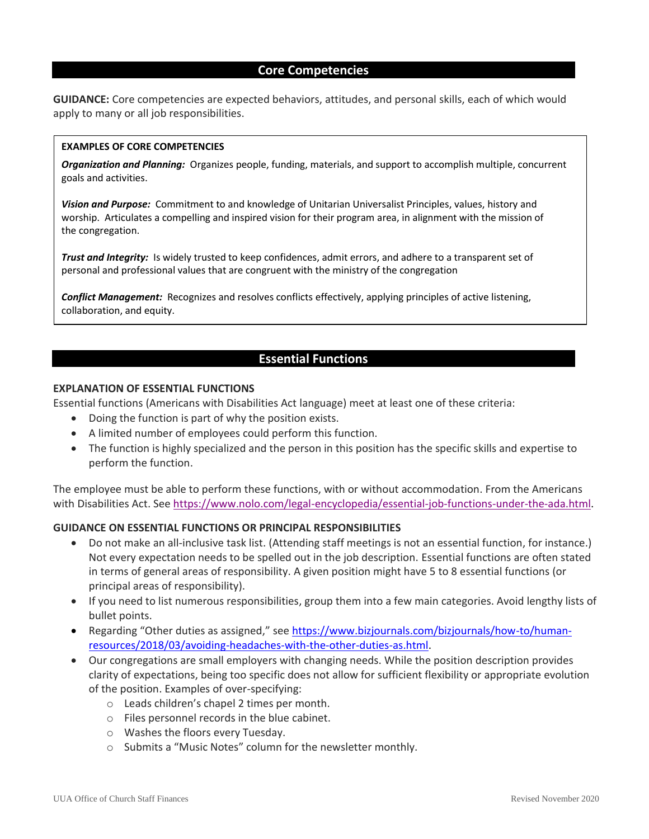## **Core Competencies**

**GUIDANCE:** Core competencies are expected behaviors, attitudes, and personal skills, each of which would apply to many or all job responsibilities.

#### **EXAMPLES OF CORE COMPETENCIES**

*Organization and Planning:* Organizes people, funding, materials, and support to accomplish multiple, concurrent goals and activities.

*Vision and Purpose:* Commitment to and knowledge of Unitarian Universalist Principles, values, history and worship. Articulates a compelling and inspired vision for their program area, in alignment with the mission of the congregation.

*Trust and Integrity:* Is widely trusted to keep confidences, admit errors, and adhere to a transparent set of personal and professional values that are congruent with the ministry of the congregation

*Conflict Management:*Recognizes and resolves conflicts effectively, applying principles of active listening, collaboration, and equity.

## **Essential Functions**

#### **EXPLANATION OF ESSENTIAL FUNCTIONS**

Essential functions (Americans with Disabilities Act language) meet at least one of these criteria:

- Doing the function is part of why the position exists.
- A limited number of employees could perform this function.
- The function is highly specialized and the person in this position has the specific skills and expertise to perform the function.

The employee must be able to perform these functions, with or without accommodation. From the Americans with Disabilities Act. See [https://www.nolo.com/legal-encyclopedia/essential-job-functions-under-the-ada.html.](https://www.nolo.com/legal-encyclopedia/essential-job-functions-under-the-ada.html)

#### **GUIDANCE ON ESSENTIAL FUNCTIONS OR PRINCIPAL RESPONSIBILITIES**

- Do not make an all-inclusive task list. (Attending staff meetings is not an essential function, for instance.) Not every expectation needs to be spelled out in the job description. Essential functions are often stated in terms of general areas of responsibility. A given position might have 5 to 8 essential functions (or principal areas of responsibility).
- If you need to list numerous responsibilities, group them into a few main categories. Avoid lengthy lists of bullet points.
- Regarding "Other duties as assigned," see [https://www.bizjournals.com/bizjournals/how-to/human](https://www.bizjournals.com/bizjournals/how-to/human-resources/2018/03/avoiding-headaches-with-the-other-duties-as.html)[resources/2018/03/avoiding-headaches-with-the-other-duties-as.html.](https://www.bizjournals.com/bizjournals/how-to/human-resources/2018/03/avoiding-headaches-with-the-other-duties-as.html)
- Our congregations are small employers with changing needs. While the position description provides clarity of expectations, being too specific does not allow for sufficient flexibility or appropriate evolution of the position. Examples of over-specifying:
	- o Leads children's chapel 2 times per month.
	- o Files personnel records in the blue cabinet.
	- o Washes the floors every Tuesday.
	- o Submits a "Music Notes" column for the newsletter monthly.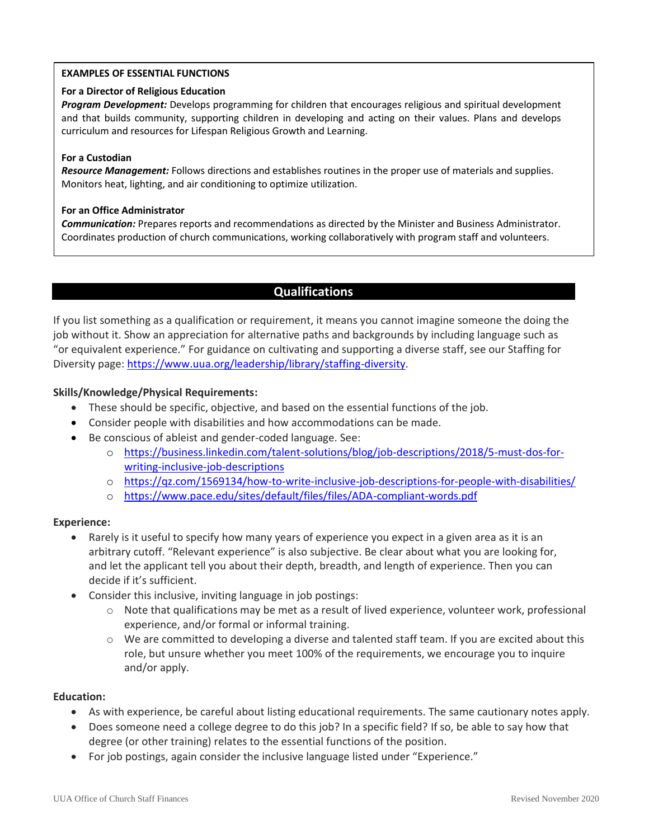#### **EXAMPLES OF ESSENTIAL FUNCTIONS**

#### **For a Director of Religious Education**

*Program Development:* Develops programming for children that encourages religious and spiritual development and that builds community, supporting children in developing and acting on their values. Plans and develops curriculum and resources for Lifespan Religious Growth and Learning.

#### **For a Custodian**

*Resource Management:* Follows directions and establishes routines in the proper use of materials and supplies. Monitors heat, lighting, and air conditioning to optimize utilization.

#### **For an Office Administrator**

*Communication:* Prepares reports and recommendations as directed by the Minister and Business Administrator. Coordinates production of church communications, working collaboratively with program staff and volunteers.

## **Qualifications**

If you list something as a qualification or requirement, it means you cannot imagine someone the doing the job without it. Show an appreciation for alternative paths and backgrounds by including language such as "or equivalent experience." For guidance on cultivating and supporting a diverse staff, see our Staffing for Diversity page: [https://www.uua.org/leadership/library/staffing-diversity.](https://www.uua.org/leadership/library/staffing-diversity)

## **Skills/Knowledge/Physical Requirements:**

- These should be specific, objective, and based on the essential functions of the job.
- Consider people with disabilities and how accommodations can be made.
- Be conscious of ableist and gender-coded language. See:
	- o [https://business.linkedin.com/talent-solutions/blog/job-descriptions/2018/5-must-dos-for](https://business.linkedin.com/talent-solutions/blog/job-descriptions/2018/5-must-dos-for-writing-inclusive-job-descriptions)[writing-inclusive-job-descriptions](https://business.linkedin.com/talent-solutions/blog/job-descriptions/2018/5-must-dos-for-writing-inclusive-job-descriptions)
	- o <https://qz.com/1569134/how-to-write-inclusive-job-descriptions-for-people-with-disabilities/>
	- o <https://www.pace.edu/sites/default/files/files/ADA-compliant-words.pdf>

## **Experience:**

- Rarely is it useful to specify how many years of experience you expect in a given area as it is an arbitrary cutoff. "Relevant experience" is also subjective. Be clear about what you are looking for, and let the applicant tell you about their depth, breadth, and length of experience. Then you can decide if it's sufficient.
- Consider this inclusive, inviting language in job postings:
	- o Note that qualifications may be met as a result of lived experience, volunteer work, professional experience, and/or formal or informal training.
	- o We are committed to developing a diverse and talented staff team. If you are excited about this role, but unsure whether you meet 100% of the requirements, we encourage you to inquire and/or apply.

## **Education:**

- As with experience, be careful about listing educational requirements. The same cautionary notes apply.
- Does someone need a college degree to do this job? In a specific field? If so, be able to say how that degree (or other training) relates to the essential functions of the position.
- For job postings, again consider the inclusive language listed under "Experience."